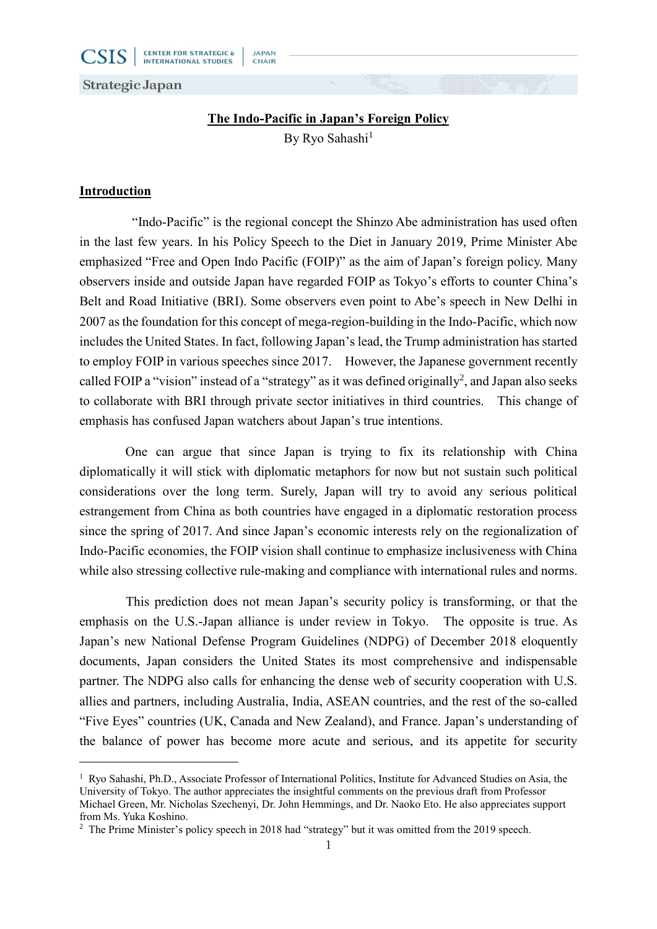

# **The Indo-Pacific in Japan's Foreign Policy**

**JAPAN** 

CHAIR

By Ryo Sahashi $1$ 

# **Introduction**

-

"Indo-Pacific" is the regional concept the Shinzo Abe administration has used often in the last few years. In his Policy Speech to the Diet in January 2019, Prime Minister Abe emphasized "Free and Open Indo Pacific (FOIP)" as the aim of Japan's foreign policy. Many observers inside and outside Japan have regarded FOIP as Tokyo's efforts to counter China's Belt and Road Initiative (BRI). Some observers even point to Abe's speech in New Delhi in 2007 as the foundation for this concept of mega-region-building in the Indo-Pacific, which now includes the United States. In fact, following Japan's lead, the Trump administration has started to employ FOIP in various speeches since 2017. However, the Japanese government recently called FOIP a "vision" instead of a "strategy" as it was defined originally<sup>2</sup>, and Japan also seeks to collaborate with BRI through private sector initiatives in third countries. This change of emphasis has confused Japan watchers about Japan's true intentions.

One can argue that since Japan is trying to fix its relationship with China diplomatically it will stick with diplomatic metaphors for now but not sustain such political considerations over the long term. Surely, Japan will try to avoid any serious political estrangement from China as both countries have engaged in a diplomatic restoration process since the spring of 2017. And since Japan's economic interests rely on the regionalization of Indo-Pacific economies, the FOIP vision shall continue to emphasize inclusiveness with China while also stressing collective rule-making and compliance with international rules and norms.

This prediction does not mean Japan's security policy is transforming, or that the emphasis on the U.S.-Japan alliance is under review in Tokyo. The opposite is true. As Japan's new National Defense Program Guidelines (NDPG) of December 2018 eloquently documents, Japan considers the United States its most comprehensive and indispensable partner. The NDPG also calls for enhancing the dense web of security cooperation with U.S. allies and partners, including Australia, India, ASEAN countries, and the rest of the so-called "Five Eyes" countries (UK, Canada and New Zealand), and France. Japan's understanding of the balance of power has become more acute and serious, and its appetite for security

<sup>&</sup>lt;sup>1</sup> Ryo Sahashi, Ph.D., Associate Professor of International Politics, Institute for Advanced Studies on Asia, the University of Tokyo. The author appreciates the insightful comments on the previous draft from Professor Michael Green, Mr. Nicholas Szechenyi, Dr. John Hemmings, and Dr. Naoko Eto. He also appreciates support from Ms. Yuka Koshino.

<sup>&</sup>lt;sup>2</sup> The Prime Minister's policy speech in 2018 had "strategy" but it was omitted from the 2019 speech.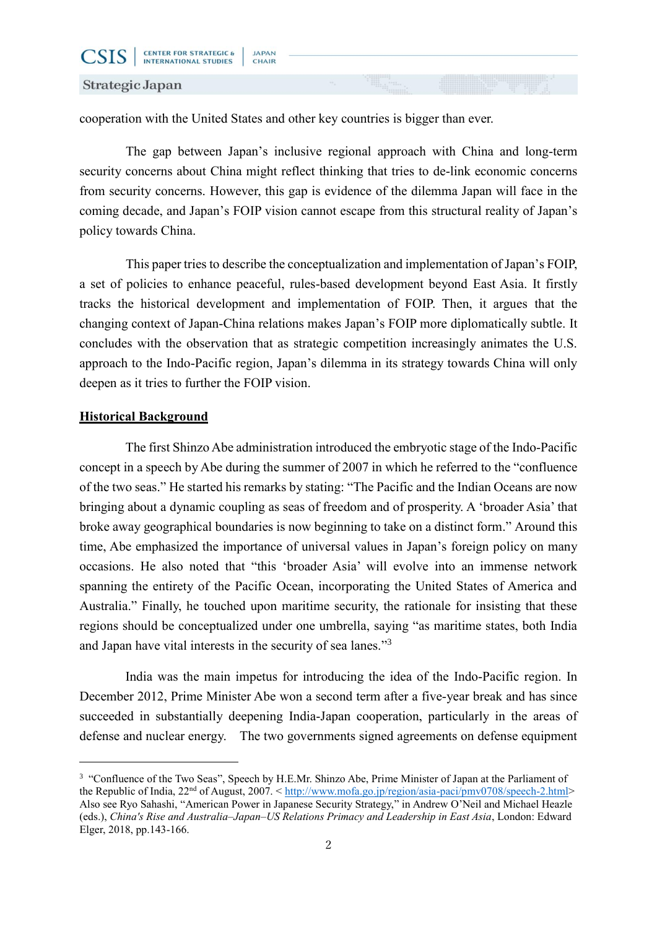CSIS

cooperation with the United States and other key countries is bigger than ever.

The gap between Japan's inclusive regional approach with China and long-term security concerns about China might reflect thinking that tries to de-link economic concerns from security concerns. However, this gap is evidence of the dilemma Japan will face in the coming decade, and Japan's FOIP vision cannot escape from this structural reality of Japan's policy towards China.

This paper tries to describe the conceptualization and implementation of Japan's FOIP, a set of policies to enhance peaceful, rules-based development beyond East Asia. It firstly tracks the historical development and implementation of FOIP. Then, it argues that the changing context of Japan-China relations makes Japan's FOIP more diplomatically subtle. It concludes with the observation that as strategic competition increasingly animates the U.S. approach to the Indo-Pacific region, Japan's dilemma in its strategy towards China will only deepen as it tries to further the FOIP vision.

# **Historical Background**

-

The first Shinzo Abe administration introduced the embryotic stage of the Indo-Pacific concept in a speech by Abe during the summer of 2007 in which he referred to the "confluence of the two seas." He started his remarks by stating: "The Pacific and the Indian Oceans are now bringing about a dynamic coupling as seas of freedom and of prosperity. A 'broader Asia' that broke away geographical boundaries is now beginning to take on a distinct form." Around this time, Abe emphasized the importance of universal values in Japan's foreign policy on many occasions. He also noted that "this 'broader Asia' will evolve into an immense network spanning the entirety of the Pacific Ocean, incorporating the United States of America and Australia." Finally, he touched upon maritime security, the rationale for insisting that these regions should be conceptualized under one umbrella, saying "as maritime states, both India and Japan have vital interests in the security of sea lanes."<sup>3</sup>

India was the main impetus for introducing the idea of the Indo-Pacific region. In December 2012, Prime Minister Abe won a second term after a five-year break and has since succeeded in substantially deepening India-Japan cooperation, particularly in the areas of defense and nuclear energy. The two governments signed agreements on defense equipment

<sup>&</sup>lt;sup>3</sup> "Confluence of the Two Seas", Speech by H.E.Mr. Shinzo Abe, Prime Minister of Japan at the Parliament of the Republic of India, 22<sup>nd</sup> of August, 2007. < [http://www.mofa.go.jp/region/asia-paci/pmv0708/speech-2.html>](http://www.mofa.go.jp/region/asia-paci/pmv0708/speech-2.html) Also see Ryo Sahashi, "American Power in Japanese Security Strategy," in Andrew O'Neil and Michael Heazle (eds.), *China's Rise and Australia–Japan–US Relations Primacy and Leadership in East Asia*, London: Edward Elger, 2018, pp.143-166.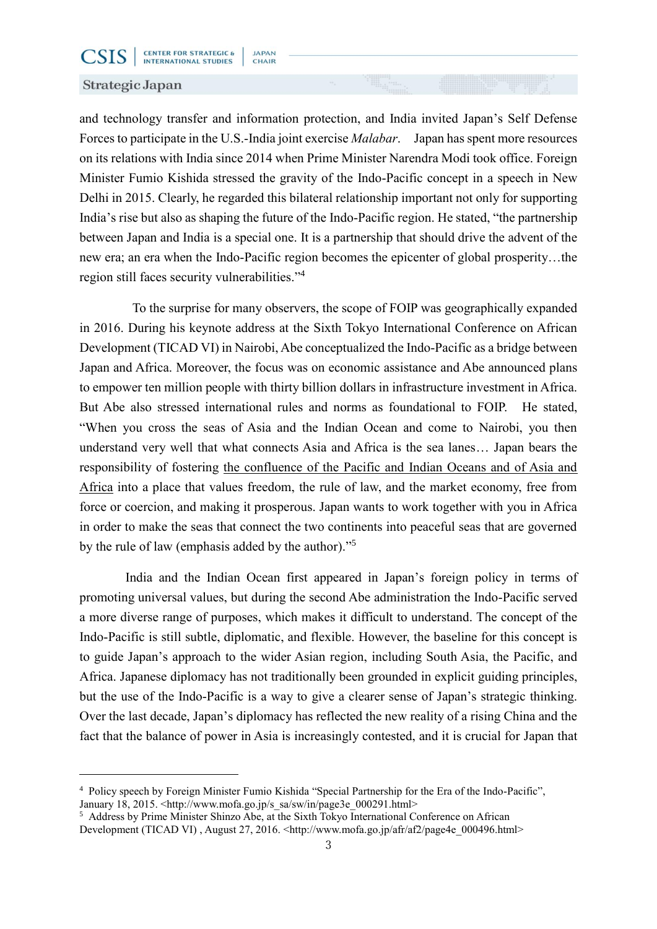### Strategic Japan

**CSIS** 

-

and technology transfer and information protection, and India invited Japan's Self Defense Forces to participate in the U.S.-India joint exercise *Malabar*. Japan has spent more resources on its relations with India since 2014 when Prime Minister Narendra Modi took office. Foreign Minister Fumio Kishida stressed the gravity of the Indo-Pacific concept in a speech in New Delhi in 2015. Clearly, he regarded this bilateral relationship important not only for supporting India's rise but also as shaping the future of the Indo-Pacific region. He stated, "the partnership between Japan and India is a special one. It is a partnership that should drive the advent of the new era; an era when the Indo-Pacific region becomes the epicenter of global prosperity…the region still faces security vulnerabilities." 4

To the surprise for many observers, the scope of FOIP was geographically expanded in 2016. During his keynote address at the Sixth Tokyo International Conference on African Development (TICAD VI) in Nairobi, Abe conceptualized the Indo-Pacific as a bridge between Japan and Africa. Moreover, the focus was on economic assistance and Abe announced plans to empower ten million people with thirty billion dollars in infrastructure investment in Africa. But Abe also stressed international rules and norms as foundational to FOIP. He stated, "When you cross the seas of Asia and the Indian Ocean and come to Nairobi, you then understand very well that what connects Asia and Africa is the sea lanes… Japan bears the responsibility of fostering the confluence of the Pacific and Indian Oceans and of Asia and Africa into a place that values freedom, the rule of law, and the market economy, free from force or coercion, and making it prosperous. Japan wants to work together with you in Africa in order to make the seas that connect the two continents into peaceful seas that are governed by the rule of law (emphasis added by the author)."<sup>5</sup>

India and the Indian Ocean first appeared in Japan's foreign policy in terms of promoting universal values, but during the second Abe administration the Indo-Pacific served a more diverse range of purposes, which makes it difficult to understand. The concept of the Indo-Pacific is still subtle, diplomatic, and flexible. However, the baseline for this concept is to guide Japan's approach to the wider Asian region, including South Asia, the Pacific, and Africa. Japanese diplomacy has not traditionally been grounded in explicit guiding principles, but the use of the Indo-Pacific is a way to give a clearer sense of Japan's strategic thinking. Over the last decade, Japan's diplomacy has reflected the new reality of a rising China and the fact that the balance of power in Asia is increasingly contested, and it is crucial for Japan that

<sup>4</sup> Policy speech by Foreign Minister Fumio Kishida "Special Partnership for the Era of the Indo-Pacific", January 18, 2015. <http://www.mofa.go.jp/s\_sa/sw/in/page3e\_000291.html>

<sup>&</sup>lt;sup>5</sup> Address by Prime Minister Shinzo Abe, at the Sixth Tokyo International Conference on African Development (TICAD VI), August 27, 2016.  $\langle \text{http://www.mofa.gov.jp/afr/af2/page4e 000496.html} \rangle$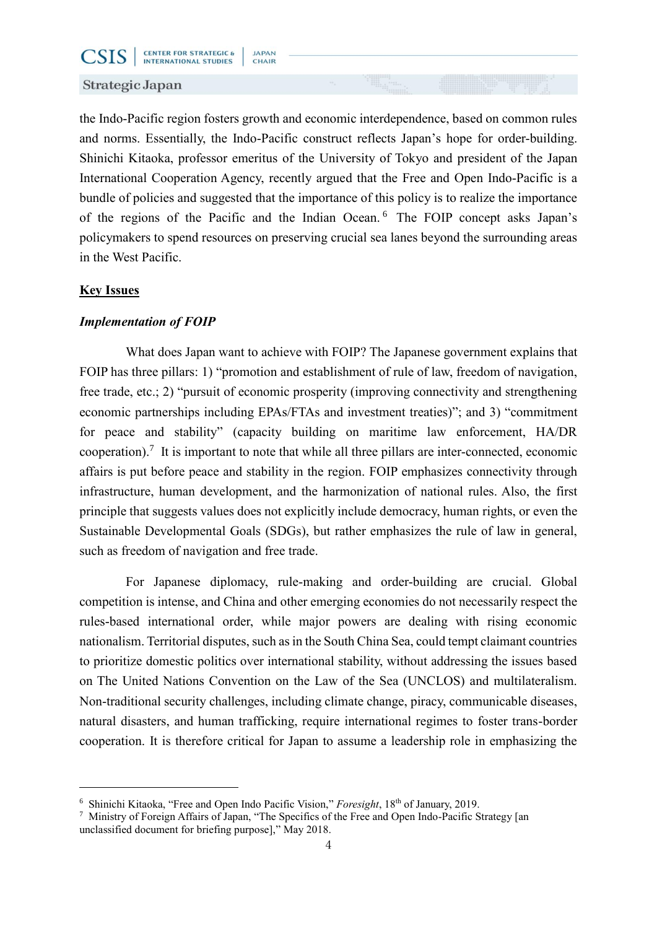

CSIS

the Indo-Pacific region fosters growth and economic interdependence, based on common rules and norms. Essentially, the Indo-Pacific construct reflects Japan's hope for order-building. Shinichi Kitaoka, professor emeritus of the University of Tokyo and president of the Japan International Cooperation Agency, recently argued that the Free and Open Indo-Pacific is a bundle of policies and suggested that the importance of this policy is to realize the importance of the regions of the Pacific and the Indian Ocean. <sup>6</sup> The FOIP concept asks Japan's policymakers to spend resources on preserving crucial sea lanes beyond the surrounding areas in the West Pacific.

### **Key Issues**

-

### *Implementation of FOIP*

What does Japan want to achieve with FOIP? The Japanese government explains that FOIP has three pillars: 1) "promotion and establishment of rule of law, freedom of navigation, free trade, etc.; 2) "pursuit of economic prosperity (improving connectivity and strengthening economic partnerships including EPAs/FTAs and investment treaties)"; and 3) "commitment for peace and stability" (capacity building on maritime law enforcement, HA/DR cooperation).<sup>7</sup> It is important to note that while all three pillars are inter-connected, economic affairs is put before peace and stability in the region. FOIP emphasizes connectivity through infrastructure, human development, and the harmonization of national rules. Also, the first principle that suggests values does not explicitly include democracy, human rights, or even the Sustainable Developmental Goals (SDGs), but rather emphasizes the rule of law in general, such as freedom of navigation and free trade.

For Japanese diplomacy, rule-making and order-building are crucial. Global competition is intense, and China and other emerging economies do not necessarily respect the rules-based international order, while major powers are dealing with rising economic nationalism. Territorial disputes, such as in the South China Sea, could tempt claimant countries to prioritize domestic politics over international stability, without addressing the issues based on The United Nations Convention on the Law of the Sea (UNCLOS) and multilateralism. Non-traditional security challenges, including climate change, piracy, communicable diseases, natural disasters, and human trafficking, require international regimes to foster trans-border cooperation. It is therefore critical for Japan to assume a leadership role in emphasizing the

<sup>6</sup> Shinichi Kitaoka, "Free and Open Indo Pacific Vision," *Foresight*, 18th of January, 2019.

<sup>7</sup> Ministry of Foreign Affairs of Japan, "The Specifics of the Free and Open Indo-Pacific Strategy [an unclassified document for briefing purpose]," May 2018.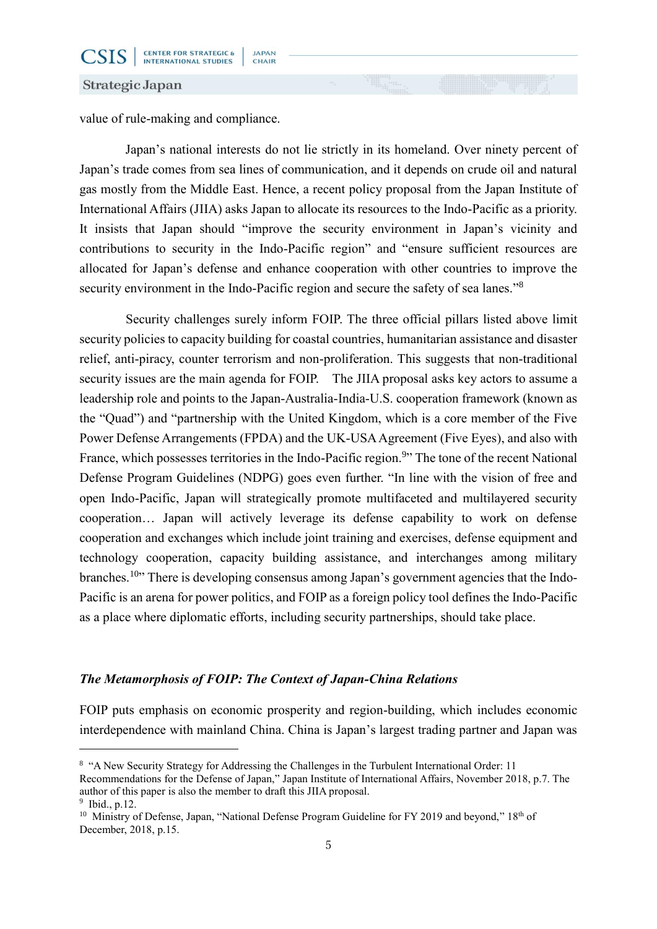CSIS

value of rule-making and compliance.

Japan's national interests do not lie strictly in its homeland. Over ninety percent of Japan's trade comes from sea lines of communication, and it depends on crude oil and natural gas mostly from the Middle East. Hence, a recent policy proposal from the Japan Institute of International Affairs (JIIA) asks Japan to allocate its resources to the Indo-Pacific as a priority. It insists that Japan should "improve the security environment in Japan's vicinity and contributions to security in the Indo-Pacific region" and "ensure sufficient resources are allocated for Japan's defense and enhance cooperation with other countries to improve the security environment in the Indo-Pacific region and secure the safety of sea lanes."<sup>8</sup>

Security challenges surely inform FOIP. The three official pillars listed above limit security policies to capacity building for coastal countries, humanitarian assistance and disaster relief, anti-piracy, counter terrorism and non-proliferation. This suggests that non-traditional security issues are the main agenda for FOIP. The JIIA proposal asks key actors to assume a leadership role and points to the Japan-Australia-India-U.S. cooperation framework (known as the "Quad") and "partnership with the United Kingdom, which is a core member of the Five Power Defense Arrangements (FPDA) and the UK-USA Agreement (Five Eyes), and also with France, which possesses territories in the Indo-Pacific region.<sup>9</sup>" The tone of the recent National Defense Program Guidelines (NDPG) goes even further. "In line with the vision of free and open Indo-Pacific, Japan will strategically promote multifaceted and multilayered security cooperation… Japan will actively leverage its defense capability to work on defense cooperation and exchanges which include joint training and exercises, defense equipment and technology cooperation, capacity building assistance, and interchanges among military branches.<sup>10</sup>" There is developing consensus among Japan's government agencies that the Indo-Pacific is an arena for power politics, and FOIP as a foreign policy tool defines the Indo-Pacific as a place where diplomatic efforts, including security partnerships, should take place.

# *The Metamorphosis of FOIP: The Context of Japan-China Relations*

FOIP puts emphasis on economic prosperity and region-building, which includes economic interdependence with mainland China. China is Japan's largest trading partner and Japan was

-

<sup>&</sup>lt;sup>8</sup> "A New Security Strategy for Addressing the Challenges in the Turbulent International Order: 11 Recommendations for the Defense of Japan," Japan Institute of International Affairs, November 2018, p.7. The author of this paper is also the member to draft this JIIA proposal.

<sup>9</sup> Ibid., p.12.

<sup>&</sup>lt;sup>10</sup> Ministry of Defense, Japan, "National Defense Program Guideline for FY 2019 and beyond," 18<sup>th</sup> of December, 2018, p.15.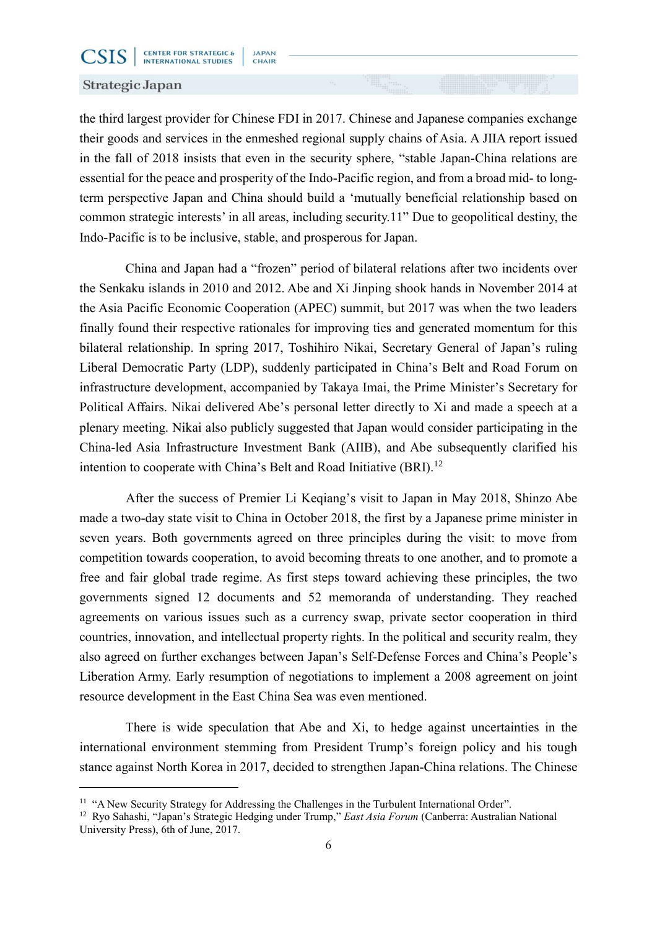### Strategic Japan

**CSIS** 

-

the third largest provider for Chinese FDI in 2017. Chinese and Japanese companies exchange their goods and services in the enmeshed regional supply chains of Asia. A JIIA report issued in the fall of 2018 insists that even in the security sphere, "stable Japan-China relations are essential for the peace and prosperity of the Indo-Pacific region, and from a broad mid- to longterm perspective Japan and China should build a 'mutually beneficial relationship based on common strategic interests' in all areas, including security.11" Due to geopolitical destiny, the Indo-Pacific is to be inclusive, stable, and prosperous for Japan.

China and Japan had a "frozen" period of bilateral relations after two incidents over the Senkaku islands in 2010 and 2012. Abe and Xi Jinping shook hands in November 2014 at the Asia Pacific Economic Cooperation (APEC) summit, but 2017 was when the two leaders finally found their respective rationales for improving ties and generated momentum for this bilateral relationship. In spring 2017, Toshihiro Nikai, Secretary General of Japan's ruling Liberal Democratic Party (LDP), suddenly participated in China's Belt and Road Forum on infrastructure development, accompanied by Takaya Imai, the Prime Minister's Secretary for Political Affairs. Nikai delivered Abe's personal letter directly to Xi and made a speech at a plenary meeting. Nikai also publicly suggested that Japan would consider participating in the China-led Asia Infrastructure Investment Bank (AIIB), and Abe subsequently clarified his intention to cooperate with China's Belt and Road Initiative  $(BRI)$ .<sup>12</sup>

After the success of Premier Li Keqiang's visit to Japan in May 2018, Shinzo Abe made a two-day state visit to China in October 2018, the first by a Japanese prime minister in seven years. Both governments agreed on three principles during the visit: to move from competition towards cooperation, to avoid becoming threats to one another, and to promote a free and fair global trade regime. As first steps toward achieving these principles, the two governments signed 12 documents and 52 memoranda of understanding. They reached agreements on various issues such as a currency swap, private sector cooperation in third countries, innovation, and intellectual property rights. In the political and security realm, they also agreed on further exchanges between Japan's Self-Defense Forces and China's People's Liberation Army. Early resumption of negotiations to implement a 2008 agreement on joint resource development in the East China Sea was even mentioned.

There is wide speculation that Abe and Xi, to hedge against uncertainties in the international environment stemming from President Trump's foreign policy and his tough stance against North Korea in 2017, decided to strengthen Japan-China relations. The Chinese

<sup>&</sup>lt;sup>11</sup> "A New Security Strategy for Addressing the Challenges in the Turbulent International Order".

<sup>12</sup> Ryo Sahashi, "Japan's Strategic Hedging under Trump," *East Asia Forum* (Canberra: Australian National University Press), 6th of June, 2017.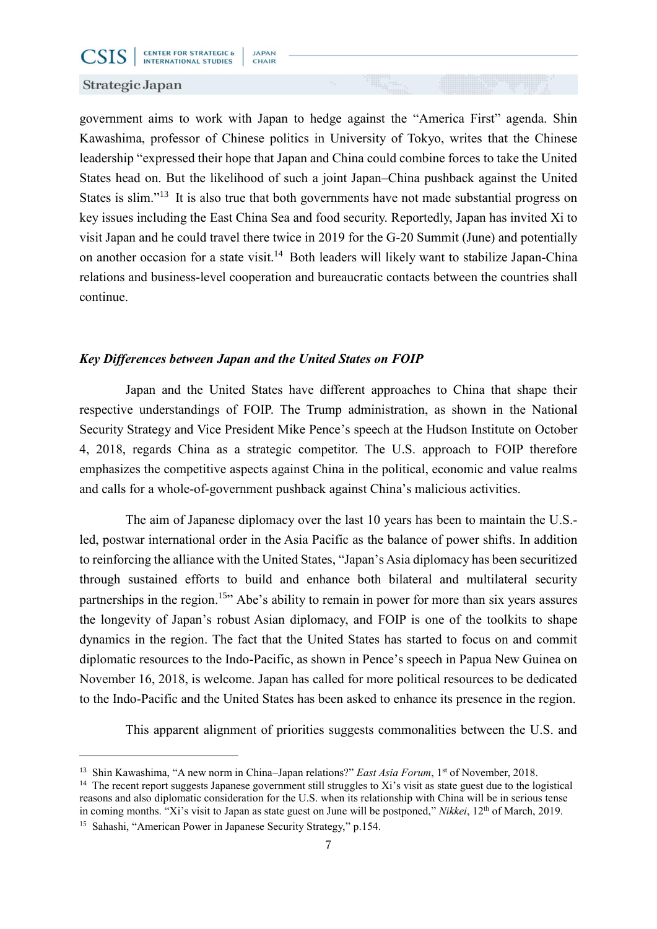#### Strategic Japan

**CSIS** 

government aims to work with Japan to hedge against the "America First" agenda. Shin Kawashima, professor of Chinese politics in University of Tokyo, writes that the Chinese leadership "expressed their hope that Japan and China could combine forces to take the United States head on. But the likelihood of such a joint Japan–China pushback against the United States is slim."<sup>13</sup> It is also true that both governments have not made substantial progress on key issues including the East China Sea and food security. Reportedly, Japan has invited Xi to visit Japan and he could travel there twice in 2019 for the G-20 Summit (June) and potentially on another occasion for a state visit.<sup>14</sup> Both leaders will likely want to stabilize Japan-China relations and business-level cooperation and bureaucratic contacts between the countries shall continue.

# *Key Differences between Japan and the United States on FOIP*

Japan and the United States have different approaches to China that shape their respective understandings of FOIP. The Trump administration, as shown in the National Security Strategy and Vice President Mike Pence's speech at the Hudson Institute on October 4, 2018, regards China as a strategic competitor. The U.S. approach to FOIP therefore emphasizes the competitive aspects against China in the political, economic and value realms and calls for a whole-of-government pushback against China's malicious activities.

The aim of Japanese diplomacy over the last 10 years has been to maintain the U.S. led, postwar international order in the Asia Pacific as the balance of power shifts. In addition to reinforcing the alliance with the United States, "Japan's Asia diplomacy has been securitized through sustained efforts to build and enhance both bilateral and multilateral security partnerships in the region.<sup>15</sup><sup>3</sup> Abe's ability to remain in power for more than six years assures the longevity of Japan's robust Asian diplomacy, and FOIP is one of the toolkits to shape dynamics in the region. The fact that the United States has started to focus on and commit diplomatic resources to the Indo-Pacific, as shown in Pence's speech in Papua New Guinea on November 16, 2018, is welcome. Japan has called for more political resources to be dedicated to the Indo-Pacific and the United States has been asked to enhance its presence in the region.

This apparent alignment of priorities suggests commonalities between the U.S. and

-

<sup>&</sup>lt;sup>13</sup> Shin Kawashima, "A new norm in China–Japan relations?" *East Asia Forum*, 1<sup>st</sup> of November, 2018.

<sup>&</sup>lt;sup>14</sup> The recent report suggests Japanese government still struggles to Xi's visit as state guest due to the logistical reasons and also diplomatic consideration for the U.S. when its relationship with China will be in serious tense in coming months. "Xi's visit to Japan as state guest on June will be postponed," *Nikkei*, 12<sup>th</sup> of March, 2019.

<sup>15</sup> Sahashi, "American Power in Japanese Security Strategy," p.154.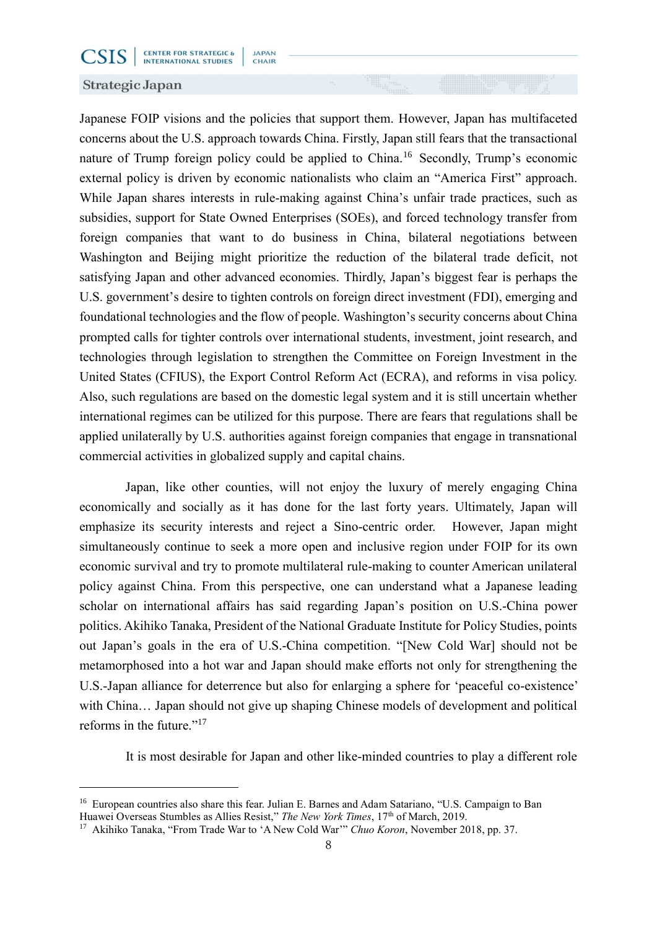#### Strategic Japan

**CSIS** 

-

Japanese FOIP visions and the policies that support them. However, Japan has multifaceted concerns about the U.S. approach towards China. Firstly, Japan still fears that the transactional nature of Trump foreign policy could be applied to China.<sup>16</sup> Secondly, Trump's economic external policy is driven by economic nationalists who claim an "America First" approach. While Japan shares interests in rule-making against China's unfair trade practices, such as subsidies, support for State Owned Enterprises (SOEs), and forced technology transfer from foreign companies that want to do business in China, bilateral negotiations between Washington and Beijing might prioritize the reduction of the bilateral trade deficit, not satisfying Japan and other advanced economies. Thirdly, Japan's biggest fear is perhaps the U.S. government's desire to tighten controls on foreign direct investment (FDI), emerging and foundational technologies and the flow of people. Washington's security concerns about China prompted calls for tighter controls over international students, investment, joint research, and technologies through legislation to strengthen the Committee on Foreign Investment in the United States (CFIUS), the Export Control Reform Act (ECRA), and reforms in visa policy. Also, such regulations are based on the domestic legal system and it is still uncertain whether international regimes can be utilized for this purpose. There are fears that regulations shall be applied unilaterally by U.S. authorities against foreign companies that engage in transnational commercial activities in globalized supply and capital chains.

Japan, like other counties, will not enjoy the luxury of merely engaging China economically and socially as it has done for the last forty years. Ultimately, Japan will emphasize its security interests and reject a Sino-centric order. However, Japan might simultaneously continue to seek a more open and inclusive region under FOIP for its own economic survival and try to promote multilateral rule-making to counter American unilateral policy against China. From this perspective, one can understand what a Japanese leading scholar on international affairs has said regarding Japan's position on U.S.-China power politics. Akihiko Tanaka, President of the National Graduate Institute for Policy Studies, points out Japan's goals in the era of U.S.-China competition. "[New Cold War] should not be metamorphosed into a hot war and Japan should make efforts not only for strengthening the U.S.-Japan alliance for deterrence but also for enlarging a sphere for 'peaceful co-existence' with China… Japan should not give up shaping Chinese models of development and political reforms in the future."<sup>17</sup>

It is most desirable for Japan and other like-minded countries to play a different role

<sup>&</sup>lt;sup>16</sup> European countries also share this fear. Julian E. Barnes and Adam Satariano, "U.S. Campaign to Ban Huawei Overseas Stumbles as Allies Resist," *The New York Times*, 17th of March, 2019.

<sup>17</sup> Akihiko Tanaka, "From Trade War to 'A New Cold War'" *Chuo Koron*, November 2018, pp. 37.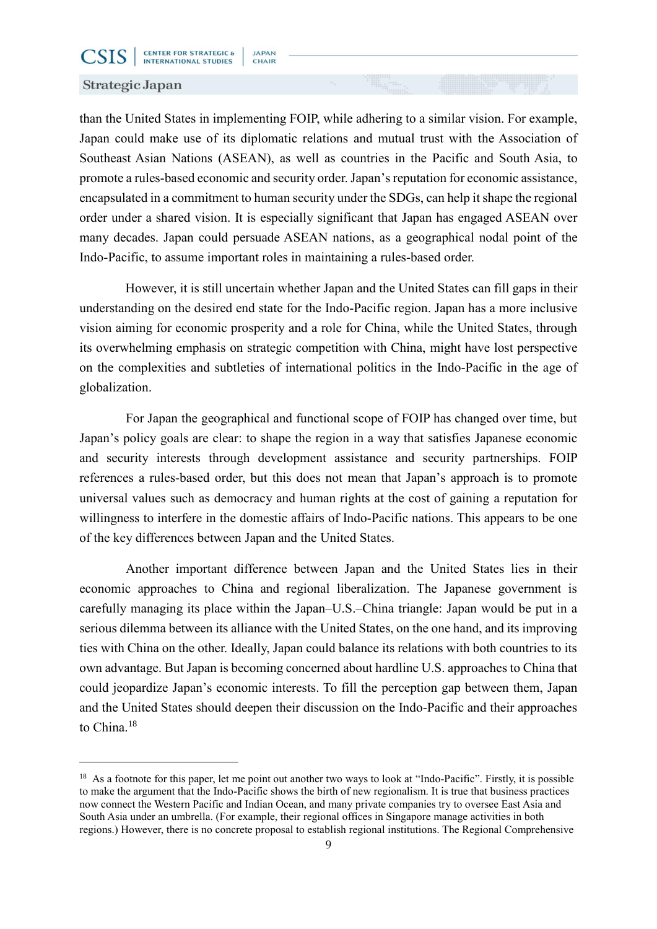#### Strategic Japan

**CSIS** 

-

than the United States in implementing FOIP, while adhering to a similar vision. For example, Japan could make use of its diplomatic relations and mutual trust with the Association of Southeast Asian Nations (ASEAN), as well as countries in the Pacific and South Asia, to promote a rules-based economic and security order. Japan's reputation for economic assistance, encapsulated in a commitment to human security under the SDGs, can help it shape the regional order under a shared vision. It is especially significant that Japan has engaged ASEAN over many decades. Japan could persuade ASEAN nations, as a geographical nodal point of the Indo-Pacific, to assume important roles in maintaining a rules-based order.

However, it is still uncertain whether Japan and the United States can fill gaps in their understanding on the desired end state for the Indo-Pacific region. Japan has a more inclusive vision aiming for economic prosperity and a role for China, while the United States, through its overwhelming emphasis on strategic competition with China, might have lost perspective on the complexities and subtleties of international politics in the Indo-Pacific in the age of globalization.

For Japan the geographical and functional scope of FOIP has changed over time, but Japan's policy goals are clear: to shape the region in a way that satisfies Japanese economic and security interests through development assistance and security partnerships. FOIP references a rules-based order, but this does not mean that Japan's approach is to promote universal values such as democracy and human rights at the cost of gaining a reputation for willingness to interfere in the domestic affairs of Indo-Pacific nations. This appears to be one of the key differences between Japan and the United States.

Another important difference between Japan and the United States lies in their economic approaches to China and regional liberalization. The Japanese government is carefully managing its place within the Japan–U.S.–China triangle: Japan would be put in a serious dilemma between its alliance with the United States, on the one hand, and its improving ties with China on the other. Ideally, Japan could balance its relations with both countries to its own advantage. But Japan is becoming concerned about hardline U.S. approaches to China that could jeopardize Japan's economic interests. To fill the perception gap between them, Japan and the United States should deepen their discussion on the Indo-Pacific and their approaches to China.<sup>18</sup>

<sup>&</sup>lt;sup>18</sup> As a footnote for this paper, let me point out another two ways to look at "Indo-Pacific". Firstly, it is possible to make the argument that the Indo-Pacific shows the birth of new regionalism. It is true that business practices now connect the Western Pacific and Indian Ocean, and many private companies try to oversee East Asia and South Asia under an umbrella. (For example, their regional offices in Singapore manage activities in both regions.) However, there is no concrete proposal to establish regional institutions. The Regional Comprehensive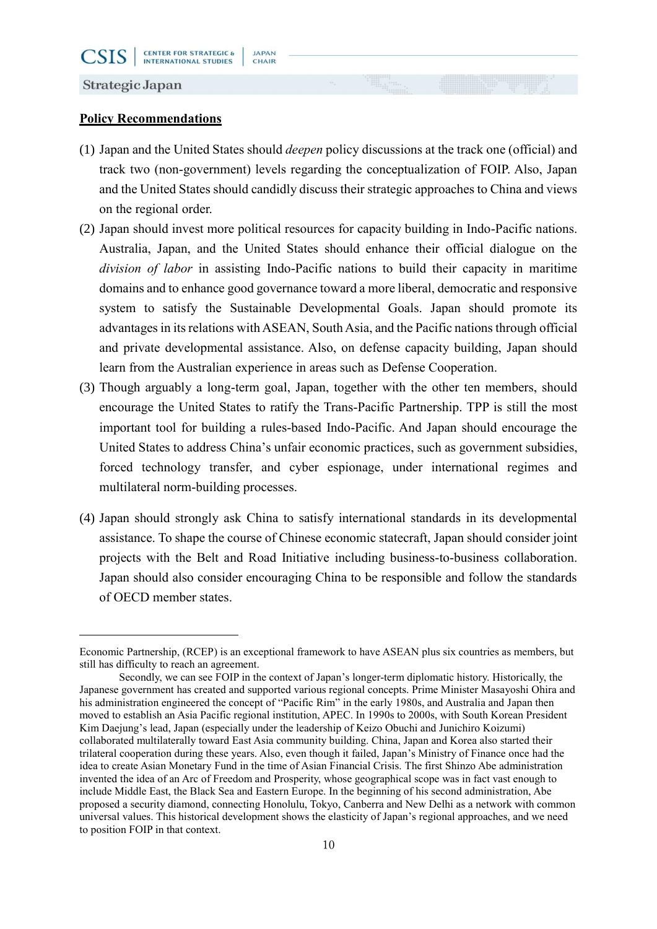**JAPAN** 

CHAIR

**CSIS** 

-

### **Policy Recommendations**

- (1) Japan and the United States should *deepen* policy discussions at the track one (official) and track two (non-government) levels regarding the conceptualization of FOIP. Also, Japan and the United States should candidly discuss their strategic approaches to China and views on the regional order.
- (2) Japan should invest more political resources for capacity building in Indo-Pacific nations. Australia, Japan, and the United States should enhance their official dialogue on the *division of labor* in assisting Indo-Pacific nations to build their capacity in maritime domains and to enhance good governance toward a more liberal, democratic and responsive system to satisfy the Sustainable Developmental Goals. Japan should promote its advantages in its relations with ASEAN, South Asia, and the Pacific nations through official and private developmental assistance. Also, on defense capacity building, Japan should learn from the Australian experience in areas such as Defense Cooperation.
- (3) Though arguably a long-term goal, Japan, together with the other ten members, should encourage the United States to ratify the Trans-Pacific Partnership. TPP is still the most important tool for building a rules-based Indo-Pacific. And Japan should encourage the United States to address China's unfair economic practices, such as government subsidies, forced technology transfer, and cyber espionage, under international regimes and multilateral norm-building processes.
- (4) Japan should strongly ask China to satisfy international standards in its developmental assistance. To shape the course of Chinese economic statecraft, Japan should consider joint projects with the Belt and Road Initiative including business-to-business collaboration. Japan should also consider encouraging China to be responsible and follow the standards of OECD member states.

Economic Partnership, (RCEP) is an exceptional framework to have ASEAN plus six countries as members, but still has difficulty to reach an agreement.

Secondly, we can see FOIP in the context of Japan's longer-term diplomatic history. Historically, the Japanese government has created and supported various regional concepts. Prime Minister Masayoshi Ohira and his administration engineered the concept of "Pacific Rim" in the early 1980s, and Australia and Japan then moved to establish an Asia Pacific regional institution, APEC. In 1990s to 2000s, with South Korean President Kim Daejung's lead, Japan (especially under the leadership of Keizo Obuchi and Junichiro Koizumi) collaborated multilaterally toward East Asia community building. China, Japan and Korea also started their trilateral cooperation during these years. Also, even though it failed, Japan's Ministry of Finance once had the idea to create Asian Monetary Fund in the time of Asian Financial Crisis. The first Shinzo Abe administration invented the idea of an Arc of Freedom and Prosperity, whose geographical scope was in fact vast enough to include Middle East, the Black Sea and Eastern Europe. In the beginning of his second administration, Abe proposed a security diamond, connecting Honolulu, Tokyo, Canberra and New Delhi as a network with common universal values. This historical development shows the elasticity of Japan's regional approaches, and we need to position FOIP in that context.